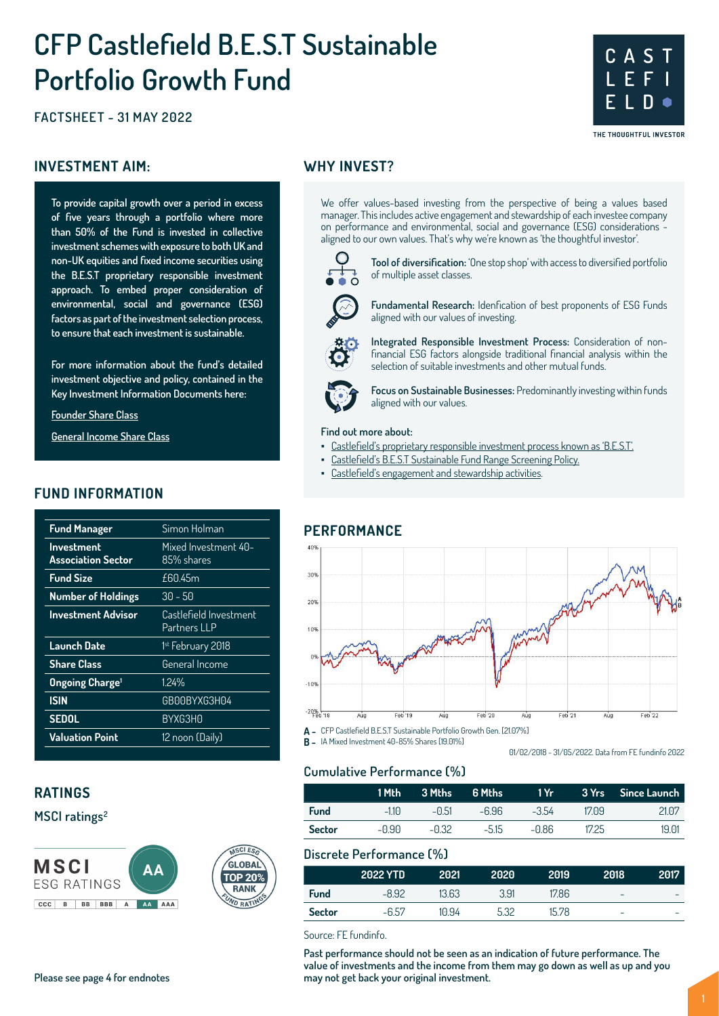# **CFP Castlefield B.E.S.T Sustainable Portfolio Growth Fund**

**FACTSHEET - 31 MAY 2022**

#### **INVESTMENT AIM:** WHY INVEST?

**To provide capital growth over a period in excess of five years through a portfolio where more than 50% of the Fund is invested in collective investment schemes with exposure to both UK and non-UK equities and fixed income securities using the B.E.S.T proprietary responsible investment approach. To embed proper consideration of environmental, social and governance (ESG) factors as part of the investment selection process, to ensure that each investment is sustainable.** 

**For more information about the fund's detailed investment objective and policy, contained in the Key Investment Information Documents here:**

#### **Founder Share Class**

**General Income Share Class**

#### **FUND INFORMATION**

| <b>Fund Manager</b>                     | Simon Holman                           |
|-----------------------------------------|----------------------------------------|
| <b>Investment</b><br>Association Sector | Mixed Investment 40-<br>85% shares     |
| <b>Fund Size</b>                        | f6045m                                 |
| <b>Number of Holdings</b>               | 30 - 50                                |
| <b>Investment Advisor</b>               | Castlefield Investment<br>Partners LLP |
| <b>Launch Date</b>                      | 1 <sup>st</sup> February 2018          |
| <b>Share Class</b>                      | General Income                         |
| <b>Ongoing Charge</b> <sup>1</sup>      | 1.24%                                  |
| <b>ISIN</b>                             | GB00BYXG3H04                           |
| <b>SEDOL</b>                            | BYXG3H0                                |
| <b>Valuation Point</b>                  | 12 noon (Daily)                        |
|                                         |                                        |

## **RATINGS**

## **MSCI ratings2**





We offer values-based investing from the perspective of being a values based manager. This includes active engagement and stewardship of each investee company on performance and environmental, social and governance (ESG) considerations aligned to our own values. That's why we're known as 'the thoughtful investor'.



**Tool of diversification:** 'One stop shop' with access to diversified portfolio of multiple asset classes.

**C A S T L E F I**

**E L D**

THE THOUGHTFUL INVESTOR

**Fundamental Research:** Idenfication of best proponents of ESG Funds aligned with our values of investing.

**Integrated Responsible Investment Process:** Consideration of nonfinancial ESG factors alongside traditional financial analysis within the selection of suitable investments and other mutual funds.



**Focus on Sustainable Businesses:** Predominantly investing within funds aligned with our values.

#### **Find out more about:**

- Castlefield's proprietary responsible investment process known as 'B.E.S.T'.
	- Castlefield's B.E.S.T Sustainable Fund Range Screening Policy.
- Castlefield's engagement and stewardship activities.

#### **PERFORMANCE**



**A -** CFP Castlefield B.E.S.T Sustainable Portfolio Growth Gen. [21.07%] **B -** IA Mixed Investment 40-85% Shares [19.01%]

**Cumulative Performance (%)**

|               | 1 Mth' | 3 Mths  | '6 Mths i | 1 Yr I  |       |       |
|---------------|--------|---------|-----------|---------|-------|-------|
| <b>Fund</b>   | $-110$ | $-0.51$ | $-6.96$   | $-3.54$ | 17.09 | 21.07 |
| <b>Sector</b> | -0.90  | –በ 32   | $-515$    | -0.86   | 17.25 | 19.01 |

01/02/2018 - 31/05/2022. Data from FE fundinfo 2022

#### **Discrete Performance (%)**

|               | <b>2022 YTD</b> | 2021  | 2020 | 2019  | 2018                     | 2017                     |
|---------------|-----------------|-------|------|-------|--------------------------|--------------------------|
| Fund          | $-8.92$         | 13.63 | 3.91 | 17.86 | $\overline{\phantom{a}}$ | $\overline{\phantom{a}}$ |
| <b>Sector</b> | $-6.57$         | 10.94 | 5.32 | 15.78 | -                        | ۰                        |

Source: FE fundinfo.

**Past performance should not be seen as an indication of future performance. The value of investments and the income from them may go down as well as up and you Please see page 4 for endnotes may not get back your original investment.**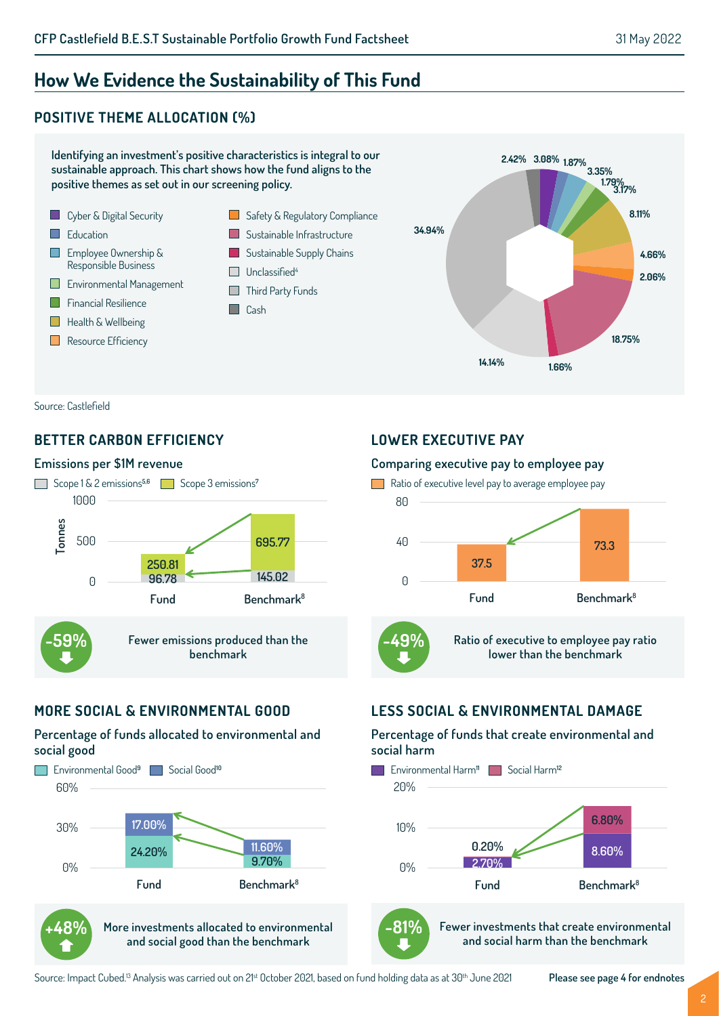## **How We Evidence the Sustainability of This Fund**

## **POSITIVE THEME ALLOCATION (%)**



Source: Castlefield

## **BETTER CARBON EFFICIENCY**

#### **Emissions per \$1M revenue**



## **MORE SOCIAL & ENVIRONMENTAL GOOD**

#### **Percentage of funds allocated to environmental and social good**



**and social good than the benchmark**

## **LOWER EXECUTIVE PAY**

#### **Comparing executive pay to employee pay**



## **LESS SOCIAL & ENVIRONMENTAL DAMAGE**

#### **Percentage of funds that create environmental and social harm**





**Fewer investments that create environmental and social harm than the benchmark**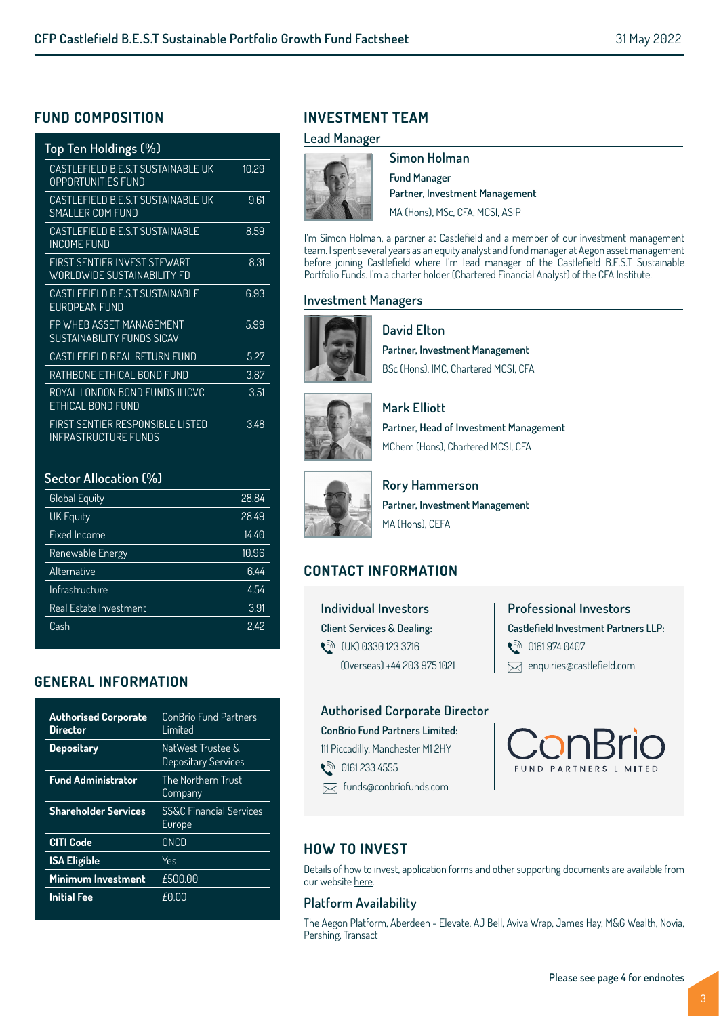## **FUND COMPOSITION**

| Top Ten Holdings (%)                                               |       |
|--------------------------------------------------------------------|-------|
| CASTLEFIELD B.E.S.T SUSTAINABLE UK<br><b>OPPORTUNITIES FUND</b>    | 10.29 |
| CASTLEFIELD B.E.S.T SUSTAINABLE UK<br>SMALLER COM FUND             | 9.61  |
| CASTI FFIFI D B F S T SUSTAINABLE<br>INCOME FUND                   | 8.59  |
| FIRST SENTIER INVEST STEWART<br><b>WORLDWIDE SUSTAINABILITY FD</b> | 8.31  |
| CASTLEFIELD B.E.S.T SUSTAINABLE<br>FUROPFAN FUND                   | 6.93  |
| FP WHEB ASSET MANAGEMENT<br>SUSTAINABILITY FUNDS SICAV             | 5.99  |
| CASTLEFIELD REAL RETURN FUND                                       | 5.27  |
| RATHBONE ETHICAL BOND FUND                                         | 3.87  |
| ROYAL LONDON BOND FUNDS II ICVC<br>FTHICAI BOND FUND               | 3.51  |
| FIRST SENTIER RESPONSIBLE LISTED<br>INFRASTRUCTURF FUNDS           | 3.48  |

#### **Sector Allocation (%)**

| <b>Global Equity</b>   | 28.84 |
|------------------------|-------|
| <b>UK Equity</b>       | 28.49 |
| <b>Fixed Income</b>    | 14.40 |
| Renewable Energy       | 10.96 |
| Alternative            | 6.44  |
| Infrastructure         | 4.54  |
| Real Estate Investment | 3.91  |
| Cash                   | 242   |
|                        |       |

## **GENERAL INFORMATION**

| <b>Authorised Corporate</b><br>Director | ConBrio Fund Partners<br>I imited            |
|-----------------------------------------|----------------------------------------------|
| <b>Depositary</b>                       | NatWest Trustee &<br>Depositary Services     |
| <b>Fund Administrator</b>               | The Northern Trust<br>Company                |
| <b>Shareholder Services</b>             | <b>SS&amp;C Financial Services</b><br>Europe |
| <b>CITI Code</b>                        | ONCD                                         |
| <b>ISA Eligible</b>                     | Yes                                          |
| Minimum Investment                      | £500.00                                      |
| <b>Initial Fee</b>                      | £0.00                                        |
|                                         |                                              |

## **INVESTMENT TEAM**

#### **Lead Manager**



**Simon Holman Fund Manager Partner, Investment Management** MA (Hons), MSc, CFA, MCSI, ASIP

I'm Simon Holman, a partner at Castlefield and a member of our investment management team. I spent several years as an equity analyst and fund manager at Aegon asset management before joining Castlefield where I'm lead manager of the Castlefield B.E.S.T Sustainable Portfolio Funds. I'm a charter holder (Chartered Financial Analyst) of the CFA Institute.

#### **Investment Managers**



**David Elton Partner, Investment Management** BSc (Hons), IMC, Chartered MCSI, CFA



**Mark Elliott**

**Partner, Head of Investment Management** MChem (Hons), Chartered MCSI, CFA



**Rory Hammerson Partner, Investment Management** MA (Hons), CEFA

## **CONTACT INFORMATION**

**Individual Investors Client Services & Dealing:**  t<sup>∂</sup> (UK) 0330 123 3716 (Overseas) +44 203 975 1021

## **Professional Investors Castlefield Investment Partners LLP: 0161 974 0407**  $\boxtimes$  enquiries@castlefield.com

#### **Authorised Corporate Director**

**ConBrio Fund Partners Limited:** 111 Piccadilly, Manchester M1 2HY

**ौ** 0161 233 4555

funds@conbriofunds.com

ConBrio

## **HOW TO INVEST**

Details of how to invest, application forms and other supporting documents are available from our website here.

### **Platform Availability**

The Aegon Platform, Aberdeen - Elevate, AJ Bell, Aviva Wrap, James Hay, M&G Wealth, Novia, Pershing, Transact